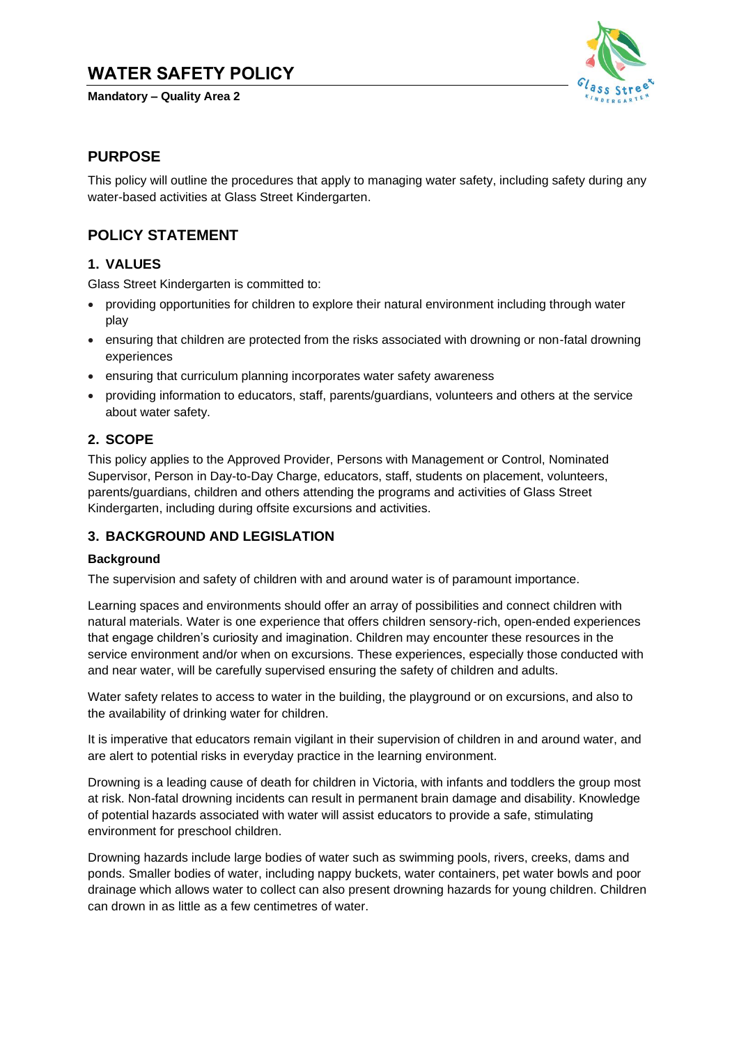# **WATER SAFETY POLICY**

**Mandatory – Quality Area 2**



### **PURPOSE**

This policy will outline the procedures that apply to managing water safety, including safety during any water-based activities at Glass Street Kindergarten.

# **POLICY STATEMENT**

### **1. VALUES**

Glass Street Kindergarten is committed to:

- providing opportunities for children to explore their natural environment including through water play
- ensuring that children are protected from the risks associated with drowning or non-fatal drowning experiences
- ensuring that curriculum planning incorporates water safety awareness
- providing information to educators, staff, parents/guardians, volunteers and others at the service about water safety.

### **2. SCOPE**

This policy applies to the Approved Provider, Persons with Management or Control, Nominated Supervisor, Person in Day-to-Day Charge, educators, staff, students on placement, volunteers, parents/guardians, children and others attending the programs and activities of Glass Street Kindergarten, including during offsite excursions and activities.

### **3. BACKGROUND AND LEGISLATION**

### **Background**

The supervision and safety of children with and around water is of paramount importance.

Learning spaces and environments should offer an array of possibilities and connect children with natural materials. Water is one experience that offers children sensory-rich, open-ended experiences that engage children's curiosity and imagination. Children may encounter these resources in the service environment and/or when on excursions. These experiences, especially those conducted with and near water, will be carefully supervised ensuring the safety of children and adults.

Water safety relates to access to water in the building, the playground or on excursions, and also to the availability of drinking water for children.

It is imperative that educators remain vigilant in their supervision of children in and around water, and are alert to potential risks in everyday practice in the learning environment.

Drowning is a leading cause of death for children in Victoria, with infants and toddlers the group most at risk. Non-fatal drowning incidents can result in permanent brain damage and disability. Knowledge of potential hazards associated with water will assist educators to provide a safe, stimulating environment for preschool children.

Drowning hazards include large bodies of water such as swimming pools, rivers, creeks, dams and ponds. Smaller bodies of water, including nappy buckets, water containers, pet water bowls and poor drainage which allows water to collect can also present drowning hazards for young children. Children can drown in as little as a few centimetres of water.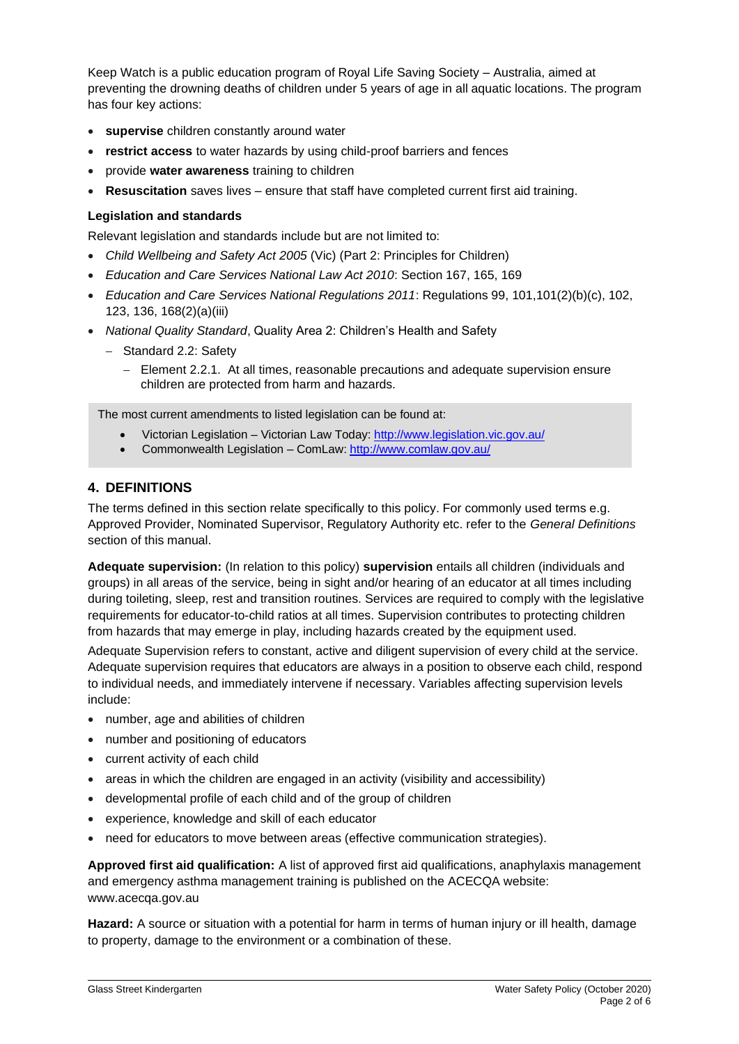Keep Watch is a public education program of Royal Life Saving Society – Australia, aimed at preventing the drowning deaths of children under 5 years of age in all aquatic locations. The program has four key actions:

- **supervise** children constantly around water
- **restrict access** to water hazards by using child-proof barriers and fences
- provide **water awareness** training to children
- **Resuscitation** saves lives ensure that staff have completed current first aid training.

### **Legislation and standards**

Relevant legislation and standards include but are not limited to:

- *Child Wellbeing and Safety Act 2005* (Vic) (Part 2: Principles for Children)
- *Education and Care Services National Law Act 2010*: Section 167, 165, 169
- *Education and Care Services National Regulations 2011*: Regulations 99, 101,101(2)(b)(c), 102, 123, 136, 168(2)(a)(iii)
- *National Quality Standard*, Quality Area 2: Children's Health and Safety
	- − Standard 2.2: Safety
		- − Element 2.2.1. At all times, reasonable precautions and adequate supervision ensure children are protected from harm and hazards.

The most current amendments to listed legislation can be found at:

- Victorian Legislation Victorian Law Today:<http://www.legislation.vic.gov.au/>
- Commonwealth Legislation ComLaw:<http://www.comlaw.gov.au/>

### **4. DEFINITIONS**

The terms defined in this section relate specifically to this policy. For commonly used terms e.g. Approved Provider, Nominated Supervisor, Regulatory Authority etc. refer to the *General Definitions* section of this manual.

**Adequate supervision:** (In relation to this policy) **supervision** entails all children (individuals and groups) in all areas of the service, being in sight and/or hearing of an educator at all times including during toileting, sleep, rest and transition routines. Services are required to comply with the legislative requirements for educator-to-child ratios at all times. Supervision contributes to protecting children from hazards that may emerge in play, including hazards created by the equipment used.

Adequate Supervision refers to constant, active and diligent supervision of every child at the service. Adequate supervision requires that educators are always in a position to observe each child, respond to individual needs, and immediately intervene if necessary. Variables affecting supervision levels include:

- number, age and abilities of children
- number and positioning of educators
- current activity of each child
- areas in which the children are engaged in an activity (visibility and accessibility)
- developmental profile of each child and of the group of children
- experience, knowledge and skill of each educator
- need for educators to move between areas (effective communication strategies).

**Approved first aid qualification:** A list of approved first aid qualifications, anaphylaxis management and emergency asthma management training is published on the ACECQA website: www.acecqa.gov.au

**Hazard:** A source or situation with a potential for harm in terms of human injury or ill health, damage to property, damage to the environment or a combination of these.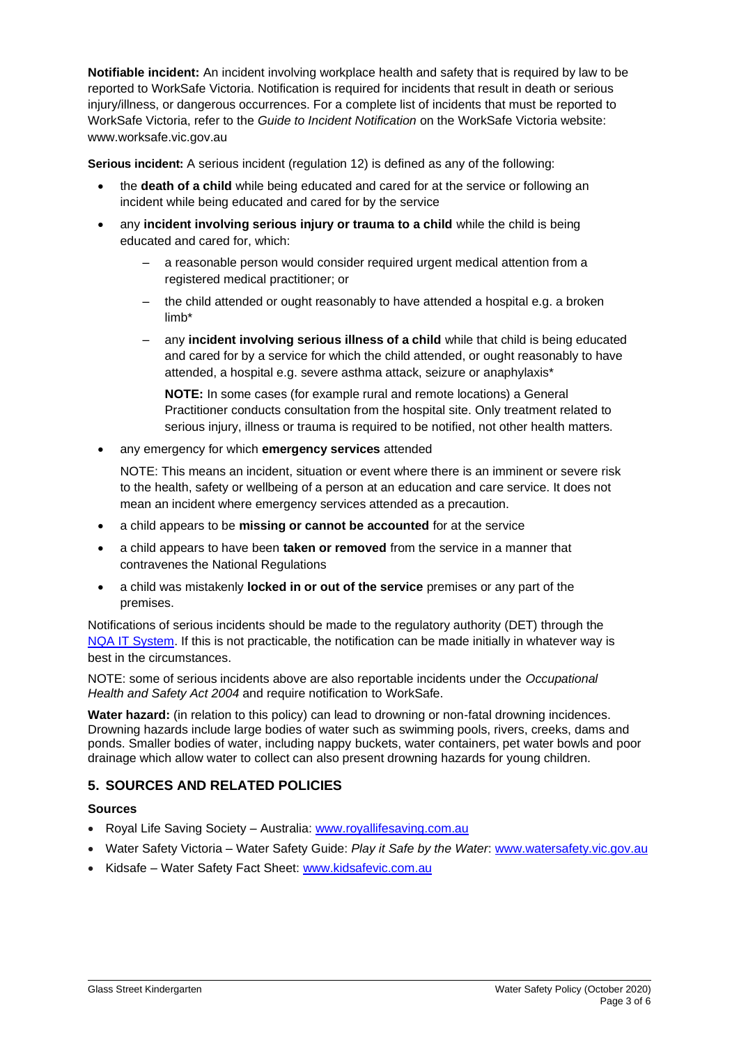**Notifiable incident:** An incident involving workplace health and safety that is required by law to be reported to WorkSafe Victoria. Notification is required for incidents that result in death or serious injury/illness, or dangerous occurrences. For a complete list of incidents that must be reported to WorkSafe Victoria, refer to the *Guide to Incident Notification* on the WorkSafe Victoria website: www.worksafe.vic.gov.au

**Serious incident:** A serious incident (regulation 12) is defined as any of the following:

- the **death of a child** while being educated and cared for at the service or following an incident while being educated and cared for by the service
- any **incident involving serious injury or trauma to a child** while the child is being educated and cared for, which:
	- a reasonable person would consider required urgent medical attention from a registered medical practitioner; or
	- the child attended or ought reasonably to have attended a hospital e.g. a broken limb\*
	- any **incident involving serious illness of a child** while that child is being educated and cared for by a service for which the child attended, or ought reasonably to have attended, a hospital e.g. severe asthma attack, seizure or anaphylaxis\*

**NOTE:** In some cases (for example rural and remote locations) a General Practitioner conducts consultation from the hospital site. Only treatment related to serious injury, illness or trauma is required to be notified, not other health matters.

• any emergency for which **emergency services** attended

NOTE: This means an incident, situation or event where there is an imminent or severe risk to the health, safety or wellbeing of a person at an education and care service. It does not mean an incident where emergency services attended as a precaution.

- a child appears to be **missing or cannot be accounted** for at the service
- a child appears to have been **taken or removed** from the service in a manner that contravenes the National Regulations
- a child was mistakenly **locked in or out of the service** premises or any part of the premises.

Notifications of serious incidents should be made to the regulatory authority (DET) through the [NQA IT System.](https://www.acecqa.gov.au/resources/national-quality-agenda-it-system) If this is not practicable, the notification can be made initially in whatever way is best in the circumstances.

NOTE: some of serious incidents above are also reportable incidents under the *Occupational Health and Safety Act 2004* and require notification to WorkSafe.

**Water hazard:** (in relation to this policy) can lead to drowning or non-fatal drowning incidences. Drowning hazards include large bodies of water such as swimming pools, rivers, creeks, dams and ponds. Smaller bodies of water, including nappy buckets, water containers, pet water bowls and poor drainage which allow water to collect can also present drowning hazards for young children.

### **5. SOURCES AND RELATED POLICIES**

### **Sources**

- Royal Life Saving Society Australia: [www.royallifesaving.com.au](http://www.royallifesaving.com.au/)
- Water Safety Victoria Water Safety Guide: *Play it Safe by the Water*[: www.watersafety.vic.gov.au](http://www.watersafety.vic.gov.au/)
- Kidsafe Water Safety Fact Sheet: [www.kidsafevic.com.au](http://www.kidsafevic.com.au/)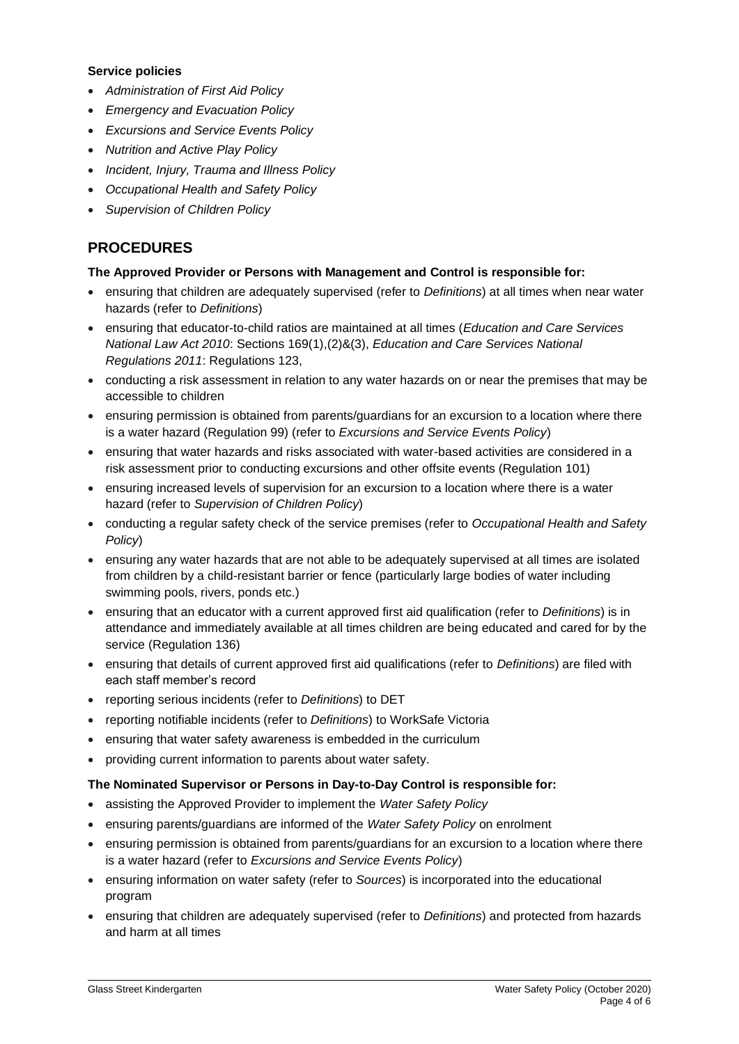#### **Service policies**

- *Administration of First Aid Policy*
- *Emergency and Evacuation Policy*
- *Excursions and Service Events Policy*
- *Nutrition and Active Play Policy*
- *Incident, Injury, Trauma and Illness Policy*
- *Occupational Health and Safety Policy*
- *Supervision of Children Policy*

# **PROCEDURES**

### **The Approved Provider or Persons with Management and Control is responsible for:**

- ensuring that children are adequately supervised (refer to *Definitions*) at all times when near water hazards (refer to *Definitions*)
- ensuring that educator-to-child ratios are maintained at all times (*Education and Care Services National Law Act 2010*: Sections 169(1),(2)&(3), *Education and Care Services National Regulations 2011*: Regulations 123,
- conducting a risk assessment in relation to any water hazards on or near the premises that may be accessible to children
- ensuring permission is obtained from parents/guardians for an excursion to a location where there is a water hazard (Regulation 99) (refer to *Excursions and Service Events Policy*)
- ensuring that water hazards and risks associated with water-based activities are considered in a risk assessment prior to conducting excursions and other offsite events (Regulation 101)
- ensuring increased levels of supervision for an excursion to a location where there is a water hazard (refer to *Supervision of Children Policy*)
- conducting a regular safety check of the service premises (refer to *Occupational Health and Safety Policy*)
- ensuring any water hazards that are not able to be adequately supervised at all times are isolated from children by a child-resistant barrier or fence (particularly large bodies of water including swimming pools, rivers, ponds etc.)
- ensuring that an educator with a current approved first aid qualification (refer to *Definitions*) is in attendance and immediately available at all times children are being educated and cared for by the service (Regulation 136)
- ensuring that details of current approved first aid qualifications (refer to *Definitions*) are filed with each staff member's record
- reporting serious incidents (refer to *Definitions*) to DET
- reporting notifiable incidents (refer to *Definitions*) to WorkSafe Victoria
- ensuring that water safety awareness is embedded in the curriculum
- providing current information to parents about water safety.

### **The Nominated Supervisor or Persons in Day-to-Day Control is responsible for:**

- assisting the Approved Provider to implement the *Water Safety Policy*
- ensuring parents/guardians are informed of the *Water Safety Policy* on enrolment
- ensuring permission is obtained from parents/guardians for an excursion to a location where there is a water hazard (refer to *Excursions and Service Events Policy*)
- ensuring information on water safety (refer to *Sources*) is incorporated into the educational program
- ensuring that children are adequately supervised (refer to *Definitions*) and protected from hazards and harm at all times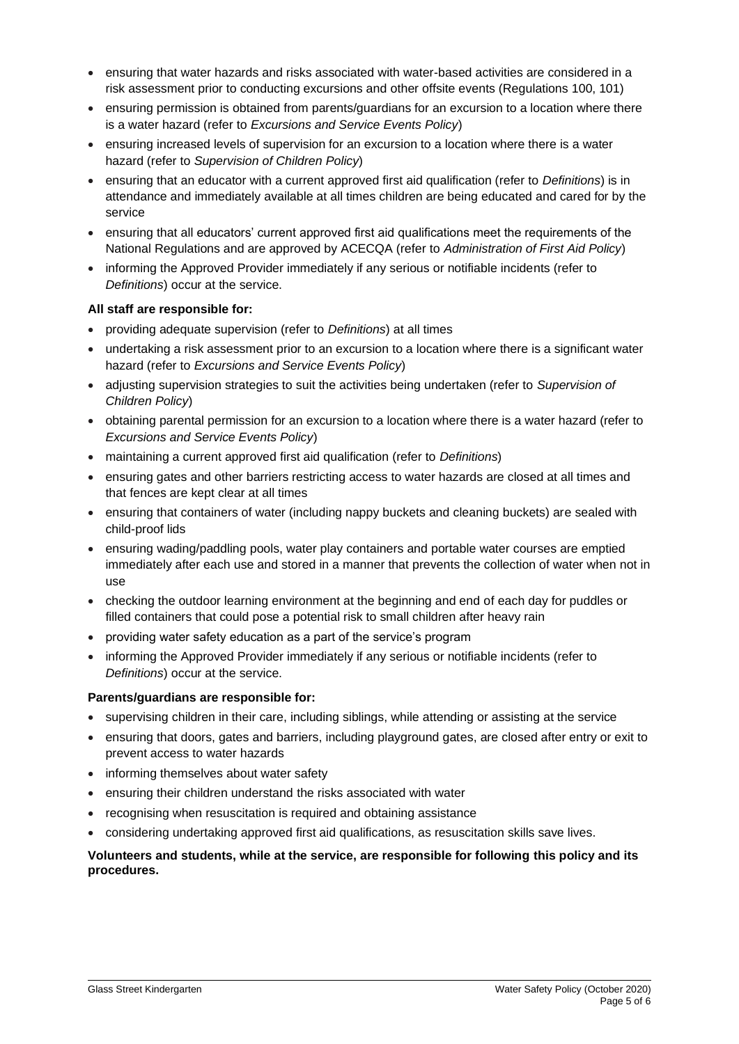- ensuring that water hazards and risks associated with water-based activities are considered in a risk assessment prior to conducting excursions and other offsite events (Regulations 100, 101)
- ensuring permission is obtained from parents/guardians for an excursion to a location where there is a water hazard (refer to *Excursions and Service Events Policy*)
- ensuring increased levels of supervision for an excursion to a location where there is a water hazard (refer to *Supervision of Children Policy*)
- ensuring that an educator with a current approved first aid qualification (refer to *Definitions*) is in attendance and immediately available at all times children are being educated and cared for by the service
- ensuring that all educators' current approved first aid qualifications meet the requirements of the National Regulations and are approved by ACECQA (refer to *Administration of First Aid Policy*)
- informing the Approved Provider immediately if any serious or notifiable incidents (refer to *Definitions*) occur at the service.

### **All staff are responsible for:**

- providing adequate supervision (refer to *Definitions*) at all times
- undertaking a risk assessment prior to an excursion to a location where there is a significant water hazard (refer to *Excursions and Service Events Policy*)
- adjusting supervision strategies to suit the activities being undertaken (refer to *Supervision of Children Policy*)
- obtaining parental permission for an excursion to a location where there is a water hazard (refer to *Excursions and Service Events Policy*)
- maintaining a current approved first aid qualification (refer to *Definitions*)
- ensuring gates and other barriers restricting access to water hazards are closed at all times and that fences are kept clear at all times
- ensuring that containers of water (including nappy buckets and cleaning buckets) are sealed with child-proof lids
- ensuring wading/paddling pools, water play containers and portable water courses are emptied immediately after each use and stored in a manner that prevents the collection of water when not in use
- checking the outdoor learning environment at the beginning and end of each day for puddles or filled containers that could pose a potential risk to small children after heavy rain
- providing water safety education as a part of the service's program
- informing the Approved Provider immediately if any serious or notifiable incidents (refer to *Definitions*) occur at the service.

### **Parents/guardians are responsible for:**

- supervising children in their care, including siblings, while attending or assisting at the service
- ensuring that doors, gates and barriers, including playground gates, are closed after entry or exit to prevent access to water hazards
- informing themselves about water safety
- ensuring their children understand the risks associated with water
- recognising when resuscitation is required and obtaining assistance
- considering undertaking approved first aid qualifications, as resuscitation skills save lives.

### **Volunteers and students, while at the service, are responsible for following this policy and its procedures.**